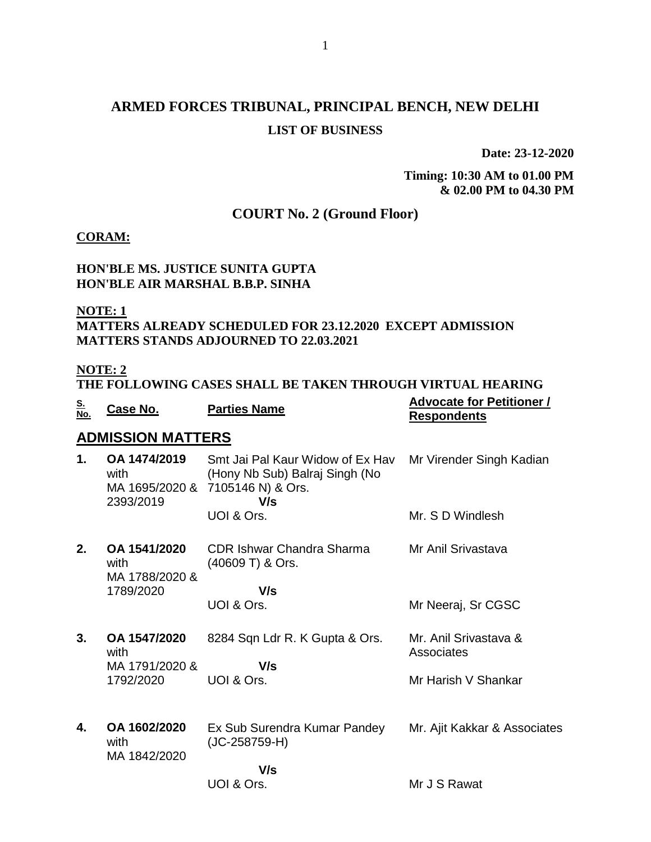# **ARMED FORCES TRIBUNAL, PRINCIPAL BENCH, NEW DELHI LIST OF BUSINESS**

**Date: 23-12-2020**

**Timing: 10:30 AM to 01.00 PM & 02.00 PM to 04.30 PM**

# **COURT No. 2 (Ground Floor)**

#### **CORAM:**

### **HON'BLE MS. JUSTICE SUNITA GUPTA HON'BLE AIR MARSHAL B.B.P. SINHA**

#### **NOTE: 1**

## **MATTERS ALREADY SCHEDULED FOR 23.12.2020 EXCEPT ADMISSION MATTERS STANDS ADJOURNED TO 22.03.2021**

## **NOTE: 2**

| *******                                                    |  |  |
|------------------------------------------------------------|--|--|
| THE FOLLOWING CASES SHALL BE TAKEN THROUGH VIRTUAL HEARING |  |  |

| <u>S.</u><br>No.           | Case No.                                            | <b>Parties Name</b>                                                                            | <b>Advocate for Petitioner /</b><br><b>Respondents</b> |
|----------------------------|-----------------------------------------------------|------------------------------------------------------------------------------------------------|--------------------------------------------------------|
|                            | <b>ADMISSION MATTERS</b>                            |                                                                                                |                                                        |
| 1.                         | OA 1474/2019<br>with<br>MA 1695/2020 &<br>2393/2019 | Smt Jai Pal Kaur Widow of Ex Hav<br>(Hony Nb Sub) Balraj Singh (No<br>7105146 N) & Ors.<br>V/s | Mr Virender Singh Kadian                               |
|                            |                                                     | UOI & Ors.                                                                                     | Mr. S D Windlesh                                       |
| 2.<br>OA 1541/2020<br>with | MA 1788/2020 &                                      | <b>CDR Ishwar Chandra Sharma</b><br>(40609 T) & Ors.                                           | Mr Anil Srivastava                                     |
|                            | 1789/2020                                           | V/s                                                                                            |                                                        |
|                            |                                                     | UOI & Ors.                                                                                     | Mr Neeraj, Sr CGSC                                     |
| 3.                         | OA 1547/2020<br>with                                | 8284 Sqn Ldr R. K Gupta & Ors.                                                                 | Mr. Anil Srivastava &<br>Associates                    |
|                            | MA 1791/2020 &                                      | V/s                                                                                            |                                                        |
|                            | 1792/2020                                           | UOI & Ors.                                                                                     | Mr Harish V Shankar                                    |
| 4.                         | OA 1602/2020                                        | Ex Sub Surendra Kumar Pandey                                                                   | Mr. Ajit Kakkar & Associates                           |
|                            | with<br>MA 1842/2020                                | $(JC-258759-H)$                                                                                |                                                        |
|                            |                                                     | V/s                                                                                            |                                                        |
|                            |                                                     | UOI & Ors.                                                                                     | Mr J S Rawat                                           |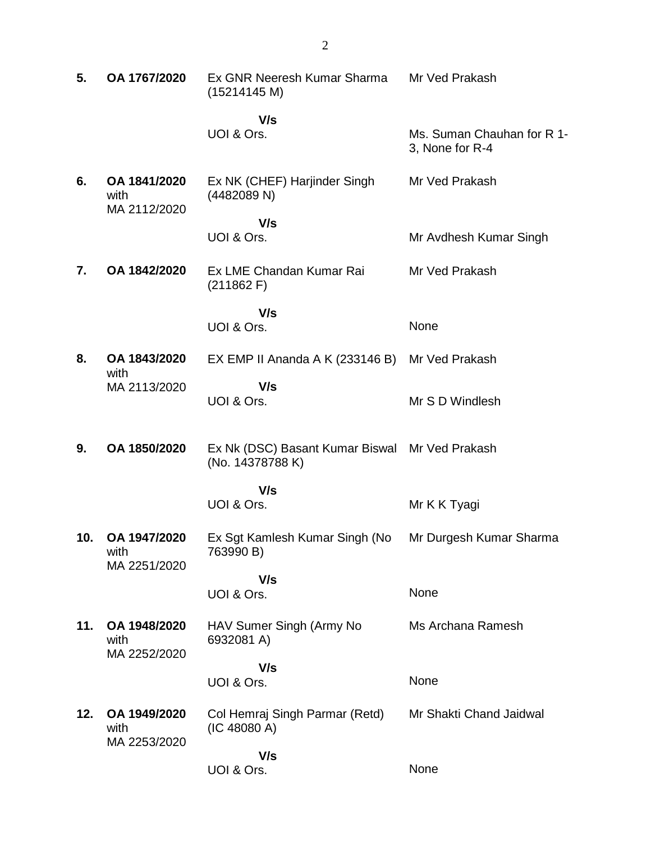| 5.  | OA 1767/2020                         | Ex GNR Neeresh Kumar Sharma<br>(15214145 M)                        | Mr Ved Prakash                                |
|-----|--------------------------------------|--------------------------------------------------------------------|-----------------------------------------------|
|     |                                      | V/s<br>UOI & Ors.                                                  | Ms. Suman Chauhan for R 1-<br>3, None for R-4 |
| 6.  | OA 1841/2020<br>with<br>MA 2112/2020 | Ex NK (CHEF) Harjinder Singh<br>(4482089 N)                        | Mr Ved Prakash                                |
|     |                                      | V/s<br>UOI & Ors.                                                  | Mr Avdhesh Kumar Singh                        |
| 7.  | OA 1842/2020                         | Ex LME Chandan Kumar Rai<br>(211862)                               | Mr Ved Prakash                                |
|     |                                      | V/s<br>UOI & Ors.                                                  | None                                          |
| 8.  | OA 1843/2020<br>with                 | EX EMP II Ananda A K $(233146 B)$                                  | Mr Ved Prakash                                |
|     | MA 2113/2020                         | V/s<br>UOI & Ors.                                                  | Mr S D Windlesh                               |
| 9.  | OA 1850/2020                         | Ex Nk (DSC) Basant Kumar Biswal Mr Ved Prakash<br>(No. 14378788 K) |                                               |
|     |                                      | V/s<br>UOI & Ors.                                                  | Mr K K Tyagi                                  |
| 10. | OA 1947/2020<br>with<br>MA 2251/2020 | Ex Sgt Kamlesh Kumar Singh (No<br>763990 B)                        | Mr Durgesh Kumar Sharma                       |
|     |                                      | V/s<br>UOI & Ors.                                                  | None                                          |
| 11. | OA 1948/2020<br>with<br>MA 2252/2020 | HAV Sumer Singh (Army No<br>6932081 A)                             | Ms Archana Ramesh                             |
|     |                                      | V/s<br>UOI & Ors.                                                  | None                                          |
| 12. | OA 1949/2020<br>with<br>MA 2253/2020 | Col Hemraj Singh Parmar (Retd)<br>(IC 48080 A)                     | Mr Shakti Chand Jaidwal                       |
|     |                                      | V/s<br>UOI & Ors.                                                  | None                                          |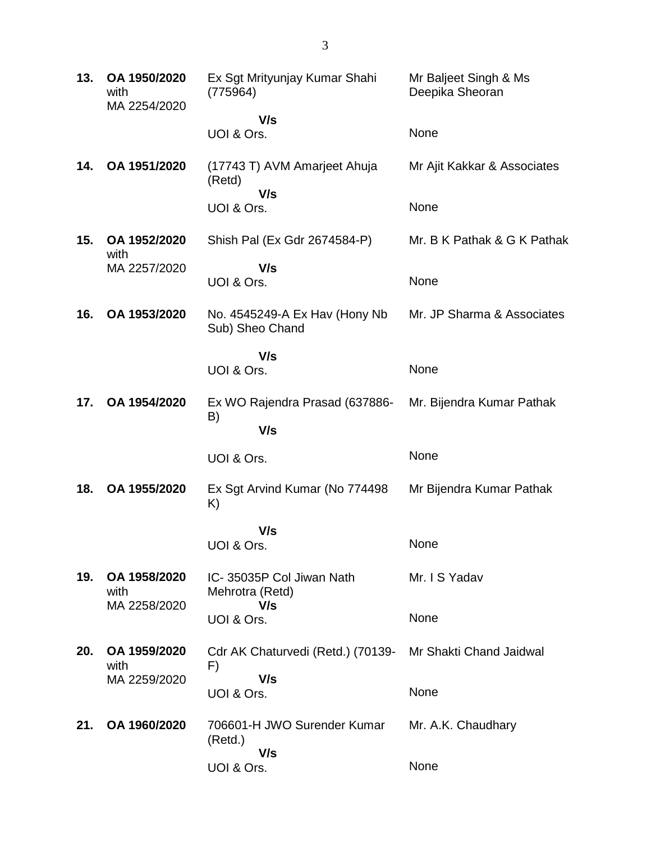| 13. | OA 1950/2020<br>with<br>MA 2254/2020 | Ex Sgt Mrityunjay Kumar Shahi<br>(775964)        | Mr Baljeet Singh & Ms<br>Deepika Sheoran |
|-----|--------------------------------------|--------------------------------------------------|------------------------------------------|
|     |                                      | V/s<br>UOI & Ors.                                | None                                     |
| 14. | OA 1951/2020                         | (17743 T) AVM Amarjeet Ahuja<br>(Retd)           | Mr Ajit Kakkar & Associates              |
|     |                                      | V/s<br>UOI & Ors.                                | None                                     |
| 15. | OA 1952/2020<br>with                 | Shish Pal (Ex Gdr 2674584-P)                     | Mr. B K Pathak & G K Pathak              |
|     | MA 2257/2020                         | V/s<br>UOI & Ors.                                | None                                     |
| 16. | OA 1953/2020                         | No. 4545249-A Ex Hav (Hony Nb<br>Sub) Sheo Chand | Mr. JP Sharma & Associates               |
|     |                                      | V/s<br>UOI & Ors.                                | None                                     |
| 17. | OA 1954/2020                         | Ex WO Rajendra Prasad (637886-<br>B)<br>V/s      | Mr. Bijendra Kumar Pathak                |
|     |                                      |                                                  |                                          |
|     |                                      | UOI & Ors.                                       | None                                     |
| 18. | OA 1955/2020                         | Ex Sgt Arvind Kumar (No 774498)<br>K)            | Mr Bijendra Kumar Pathak                 |
|     |                                      | V/s<br>UOI & Ors.                                | None                                     |
| 19. | OA 1958/2020<br>with                 | IC-35035P Col Jiwan Nath<br>Mehrotra (Retd)      | Mr. I S Yadav                            |
|     | MA 2258/2020                         | V/s<br>UOI & Ors.                                | None                                     |
| 20. | OA 1959/2020<br>with                 | Cdr AK Chaturvedi (Retd.) (70139-<br>F)          | Mr Shakti Chand Jaidwal                  |
|     | MA 2259/2020                         | V/s<br>UOI & Ors.                                | None                                     |
| 21. | OA 1960/2020                         | 706601-H JWO Surender Kumar<br>(Retd.)           | Mr. A.K. Chaudhary                       |
|     |                                      | V/s<br>UOI & Ors.                                | None                                     |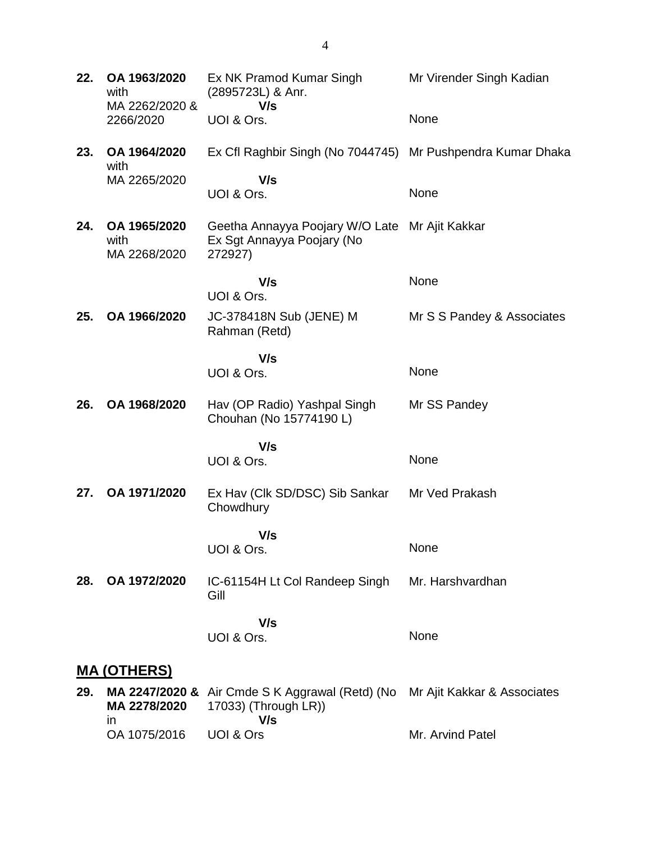| 22. | OA 1963/2020<br>with<br>MA 2262/2020 & | Ex NK Pramod Kumar Singh<br>(2895723L) & Anr.<br>V/s                                    | Mr Virender Singh Kadian    |
|-----|----------------------------------------|-----------------------------------------------------------------------------------------|-----------------------------|
|     | 2266/2020                              | UOI & Ors.                                                                              | None                        |
| 23. | OA 1964/2020<br>with                   | Ex Cfl Raghbir Singh (No 7044745) Mr Pushpendra Kumar Dhaka                             |                             |
|     | MA 2265/2020                           | V/s<br>UOI & Ors.                                                                       | None                        |
| 24. | OA 1965/2020<br>with<br>MA 2268/2020   | Geetha Annayya Poojary W/O Late Mr Ajit Kakkar<br>Ex Sgt Annayya Poojary (No<br>272927) |                             |
|     |                                        | V/s<br>UOI & Ors.                                                                       | None                        |
| 25. | OA 1966/2020                           | JC-378418N Sub (JENE) M<br>Rahman (Retd)                                                | Mr S S Pandey & Associates  |
|     |                                        | V/s<br>UOI & Ors.                                                                       | None                        |
| 26. | OA 1968/2020                           | Hav (OP Radio) Yashpal Singh<br>Chouhan (No 15774190 L)                                 | Mr SS Pandey                |
|     |                                        | V/s<br>UOI & Ors.                                                                       | None                        |
| 27. | OA 1971/2020                           | Ex Hav (Clk SD/DSC) Sib Sankar<br>Chowdhury                                             | Mr Ved Prakash              |
|     |                                        | V/s<br>UOI & Ors.                                                                       | None                        |
| 28. | OA 1972/2020                           | IC-61154H Lt Col Randeep Singh<br>Gill                                                  | Mr. Harshvardhan            |
|     |                                        | V/s<br>UOI & Ors.                                                                       | None                        |
|     | <u>MA (OTHERS)</u>                     |                                                                                         |                             |
| 29. | MA 2247/2020 &<br>MA 2278/2020<br>in   | Air Cmde S K Aggrawal (Retd) (No<br>17033) (Through LR))<br>V/s                         | Mr Ajit Kakkar & Associates |
|     | OA 1075/2016                           | UOI & Ors                                                                               | Mr. Arvind Patel            |